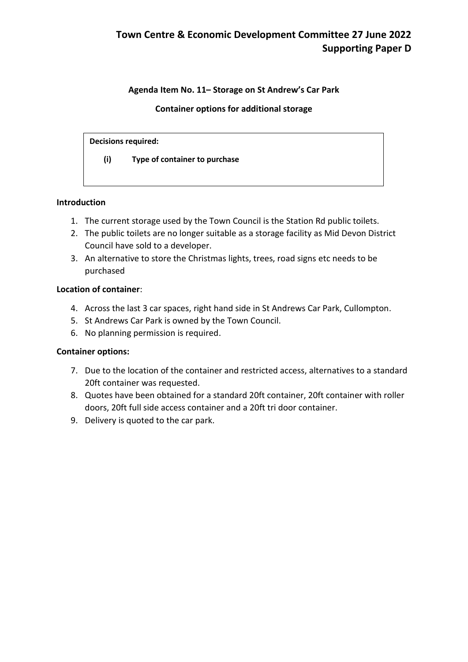## **Agenda Item No. 11– Storage on St Andrew's Car Park**

## **Container options for additional storage**

#### **Decisions required:**

**(i) Type of container to purchase**

## **Introduction**

- 1. The current storage used by the Town Council is the Station Rd public toilets.
- 2. The public toilets are no longer suitable as a storage facility as Mid Devon District Council have sold to a developer.
- 3. An alternative to store the Christmas lights, trees, road signs etc needs to be purchased

#### **Location of container**:

- 4. Across the last 3 car spaces, right hand side in St Andrews Car Park, Cullompton.
- 5. St Andrews Car Park is owned by the Town Council.
- 6. No planning permission is required.

## **Container options:**

- 7. Due to the location of the container and restricted access, alternatives to a standard 20ft container was requested.
- 8. Quotes have been obtained for a standard 20ft container, 20ft container with roller doors, 20ft full side access container and a 20ft tri door container.
- 9. Delivery is quoted to the car park.